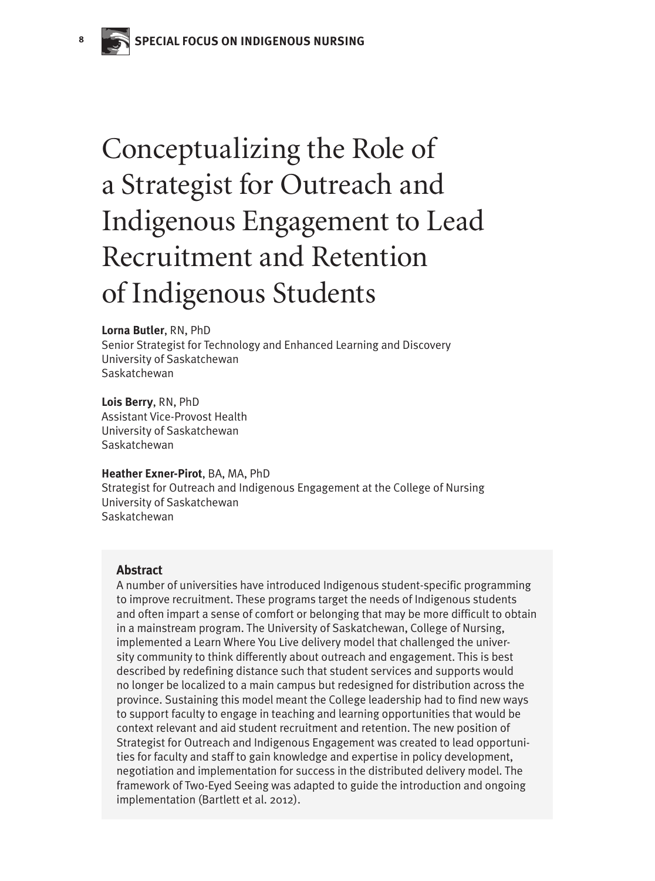# Conceptualizing the Role of a Strategist for Outreach and Indigenous Engagement to Lead Recruitment and Retention of Indigenous Students

**Lorna Butler**, RN, PhD Senior Strategist for Technology and Enhanced Learning and Discovery University of Saskatchewan Saskatchewan

**Lois Berry**, RN, PhD Assistant Vice-Provost Health University of Saskatchewan Saskatchewan

#### **Heather Exner-Pirot**, BA, MA, PhD

Strategist for Outreach and Indigenous Engagement at the College of Nursing University of Saskatchewan Saskatchewan

#### **Abstract**

A number of universities have introduced Indigenous student-specific programming to improve recruitment. These programs target the needs of Indigenous students and often impart a sense of comfort or belonging that may be more difficult to obtain in a mainstream program. The University of Saskatchewan, College of Nursing, implemented a Learn Where You Live delivery model that challenged the university community to think differently about outreach and engagement. This is best described by redefining distance such that student services and supports would no longer be localized to a main campus but redesigned for distribution across the province. Sustaining this model meant the College leadership had to find new ways to support faculty to engage in teaching and learning opportunities that would be context relevant and aid student recruitment and retention. The new position of Strategist for Outreach and Indigenous Engagement was created to lead opportunities for faculty and staff to gain knowledge and expertise in policy development, negotiation and implementation for success in the distributed delivery model. The framework of Two-Eyed Seeing was adapted to guide the introduction and ongoing implementation (Bartlett et al. 2012).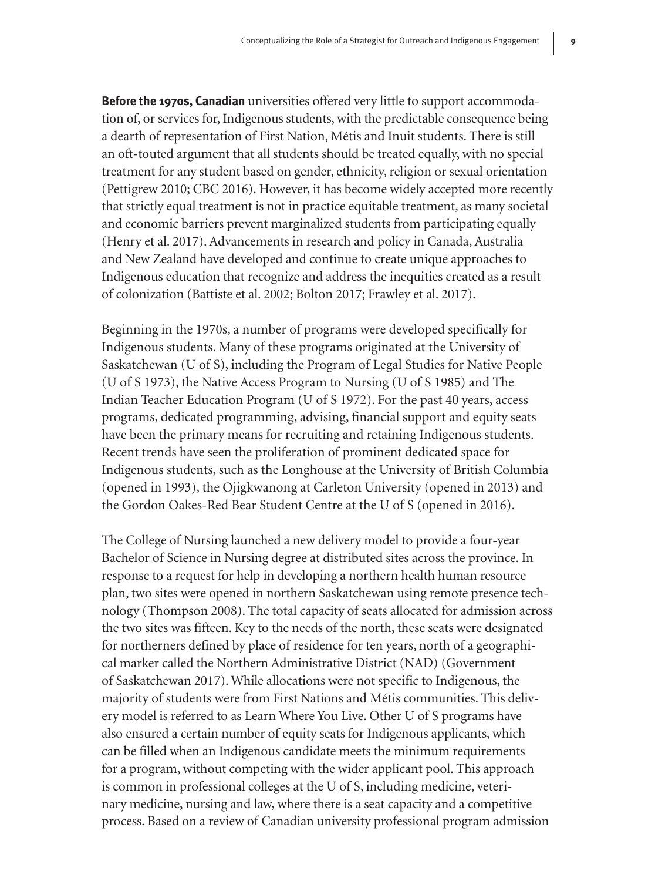**Before the 1970s, Canadian** universities offered very little to support accommodation of, or services for, Indigenous students, with the predictable consequence being a dearth of representation of First Nation, Métis and Inuit students. There is still an oft-touted argument that all students should be treated equally, with no special treatment for any student based on gender, ethnicity, religion or sexual orientation (Pettigrew 2010; CBC 2016). However, it has become widely accepted more recently that strictly equal treatment is not in practice equitable treatment, as many societal and economic barriers prevent marginalized students from participating equally (Henry et al. 2017). Advancements in research and policy in Canada, Australia and New Zealand have developed and continue to create unique approaches to Indigenous education that recognize and address the inequities created as a result of colonization (Battiste et al. 2002; Bolton 2017; Frawley et al. 2017).

Beginning in the 1970s, a number of programs were developed specifically for Indigenous students. Many of these programs originated at the University of Saskatchewan (U of S), including the Program of Legal Studies for Native People (U of S 1973), the Native Access Program to Nursing (U of S 1985) and The Indian Teacher Education Program (U of S 1972). For the past 40 years, access programs, dedicated programming, advising, financial support and equity seats have been the primary means for recruiting and retaining Indigenous students. Recent trends have seen the proliferation of prominent dedicated space for Indigenous students, such as the Longhouse at the University of British Columbia (opened in 1993), the Ojigkwanong at Carleton University (opened in 2013) and the Gordon Oakes-Red Bear Student Centre at the U of S (opened in 2016).

The College of Nursing launched a new delivery model to provide a four-year Bachelor of Science in Nursing degree at distributed sites across the province. In response to a request for help in developing a northern health human resource plan, two sites were opened in northern Saskatchewan using remote presence technology (Thompson 2008). The total capacity of seats allocated for admission across the two sites was fifteen. Key to the needs of the north, these seats were designated for northerners defined by place of residence for ten years, north of a geographical marker called the Northern Administrative District (NAD) (Government of Saskatchewan 2017). While allocations were not specific to Indigenous, the majority of students were from First Nations and Métis communities. This delivery model is referred to as Learn Where You Live. Other U of S programs have also ensured a certain number of equity seats for Indigenous applicants, which can be filled when an Indigenous candidate meets the minimum requirements for a program, without competing with the wider applicant pool. This approach is common in professional colleges at the U of S, including medicine, veterinary medicine, nursing and law, where there is a seat capacity and a competitive process. Based on a review of Canadian university professional program admission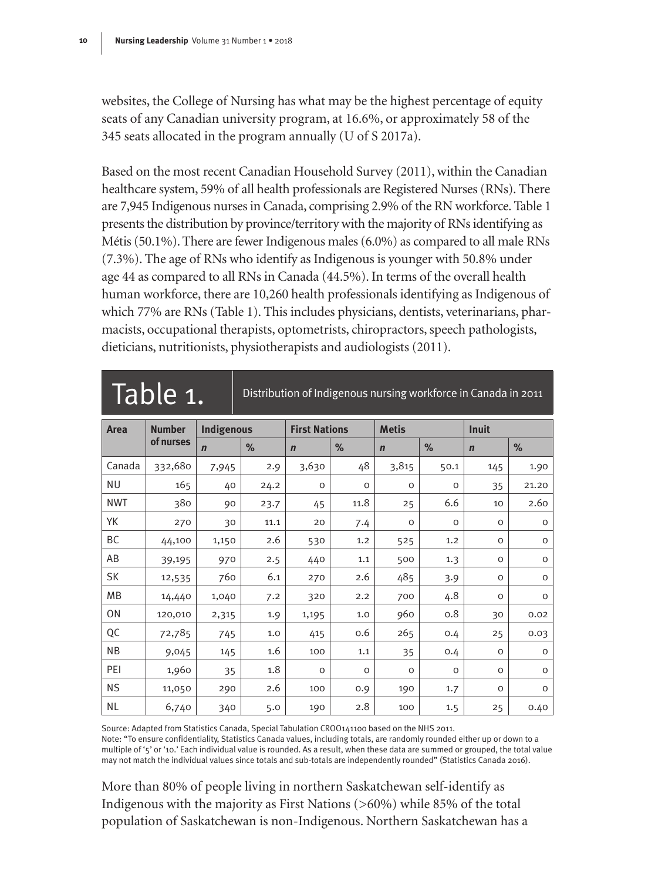websites, the College of Nursing has what may be the highest percentage of equity seats of any Canadian university program, at 16.6%, or approximately 58 of the 345 seats allocated in the program annually (U of S 2017a).

Based on the most recent Canadian Household Survey (2011), within the Canadian healthcare system, 59% of all health professionals are Registered Nurses (RNs). There are 7,945 Indigenous nurses in Canada, comprising 2.9% of the RN workforce. Table 1 presents the distribution by province/territory with the majority of RNs identifying as Métis (50.1%). There are fewer Indigenous males (6.0%) as compared to all male RNs (7.3%). The age of RNs who identify as Indigenous is younger with 50.8% under age 44 as compared to all RNs in Canada (44.5%). In terms of the overall health human workforce, there are 10,260 health professionals identifying as Indigenous of which 77% are RNs (Table 1). This includes physicians, dentists, veterinarians, pharmacists, occupational therapists, optometrists, chiropractors, speech pathologists, dieticians, nutritionists, physiotherapists and audiologists (2011).

| Table 1.   |                            |                   | Distribution of Indigenous nursing workforce in Canada in 2011 |                      |          |              |          |              |             |
|------------|----------------------------|-------------------|----------------------------------------------------------------|----------------------|----------|--------------|----------|--------------|-------------|
| Area       | <b>Number</b><br>of nurses | <b>Indigenous</b> |                                                                | <b>First Nations</b> |          | <b>Metis</b> |          | <b>Inuit</b> |             |
|            |                            | $\mathbf n$       | %                                                              | $\mathbf n$          | %        | $\mathbf n$  | %        | $\mathbf n$  | $\%$        |
| Canada     | 332,680                    | 7,945             | 2.9                                                            | 3,630                | 48       | 3,815        | 50.1     | 145          | 1.90        |
| <b>NU</b>  | 165                        | 40                | 24.2                                                           | $\circ$              | $\Omega$ | $\circ$      | $\circ$  | 35           | 21.20       |
| <b>NWT</b> | 380                        | 90                | 23.7                                                           | 45                   | 11.8     | 25           | 6.6      | 10           | 2.60        |
| YΚ         | 270                        | 30                | 11.1                                                           | 20                   | 7.4      | $\circ$      | $\circ$  | O            | O           |
| <b>BC</b>  | 44,100                     | 1,150             | 2.6                                                            | 530                  | 1.2      | 525          | 1.2      | O            | O           |
| AB         | 39,195                     | 970               | 2.5                                                            | 440                  | 1.1      | 500          | 1.3      | O            | O           |
| SK         | 12,535                     | 760               | 6.1                                                            | 270                  | 2.6      | 485          | 3.9      | O            | O           |
| MB         | 14,440                     | 1,040             | 7.2                                                            | 320                  | 2.2      | 700          | 4.8      | O            | $\mathsf O$ |
| ON         | 120,010                    | 2,315             | 1.9                                                            | 1,195                | 1.0      | 960          | 0.8      | 30           | 0.02        |
| QC         | 72,785                     | 745               | 1.0                                                            | 415                  | 0.6      | 265          | 0.4      | 25           | 0.03        |
| NΒ         | 9,045                      | 145               | 1.6                                                            | 100                  | 1.1      | 35           | 0.4      | $\circ$      | O           |
| PEI        | 1,960                      | 35                | 1.8                                                            | $\circ$              | $\circ$  | $\circ$      | $\Omega$ | O            | $\circ$     |
| <b>NS</b>  | 11,050                     | 290               | 2.6                                                            | 100                  | 0.9      | 190          | 1.7      | O            | $\circ$     |
| <b>NL</b>  | 6,740                      | 340               | 5.0                                                            | 190                  | 2.8      | 100          | 1.5      | 25           | 0.40        |

Source: Adapted from Statistics Canada, Special Tabulation CROO141100 based on the NHS 2011.

Note: "To ensure confidentiality, Statistics Canada values, including totals, are randomly rounded either up or down to a multiple of '5' or '10.' Each individual value is rounded. As a result, when these data are summed or grouped, the total value may not match the individual values since totals and sub-totals are independently rounded" (Statistics Canada 2016).

More than 80% of people living in northern Saskatchewan self-identify as Indigenous with the majority as First Nations (>60%) while 85% of the total population of Saskatchewan is non-Indigenous. Northern Saskatchewan has a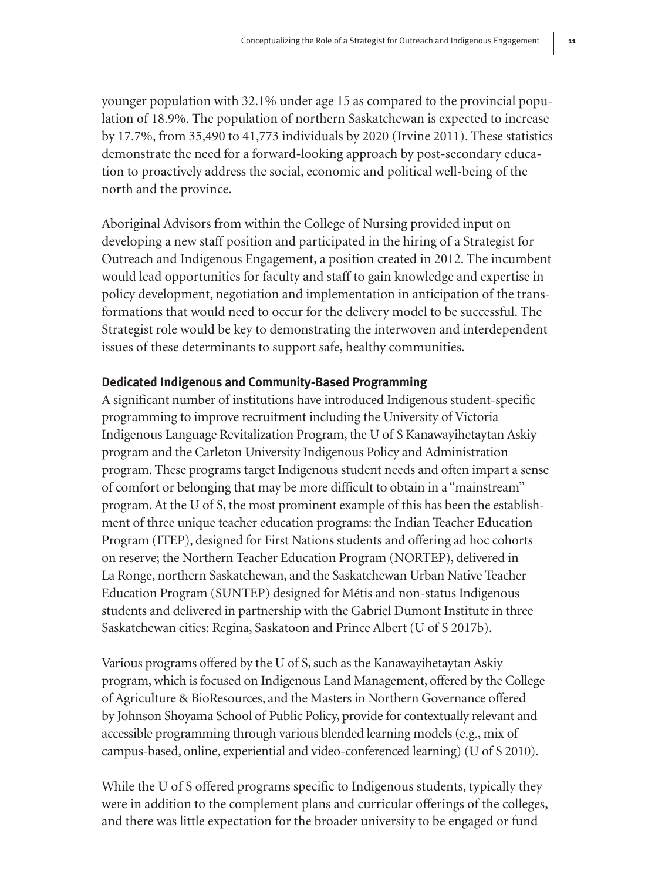younger population with 32.1% under age 15 as compared to the provincial population of 18.9%. The population of northern Saskatchewan is expected to increase by 17.7%, from 35,490 to 41,773 individuals by 2020 (Irvine 2011). These statistics demonstrate the need for a forward-looking approach by post-secondary education to proactively address the social, economic and political well-being of the north and the province.

Aboriginal Advisors from within the College of Nursing provided input on developing a new staff position and participated in the hiring of a Strategist for Outreach and Indigenous Engagement, a position created in 2012. The incumbent would lead opportunities for faculty and staff to gain knowledge and expertise in policy development, negotiation and implementation in anticipation of the transformations that would need to occur for the delivery model to be successful. The Strategist role would be key to demonstrating the interwoven and interdependent issues of these determinants to support safe, healthy communities.

# **Dedicated Indigenous and Community-Based Programming**

A significant number of institutions have introduced Indigenous student-specific programming to improve recruitment including the University of Victoria Indigenous Language Revitalization Program, the U of S Kanawayihetaytan Askiy program and the Carleton University Indigenous Policy and Administration program. These programs target Indigenous student needs and often impart a sense of comfort or belonging that may be more difficult to obtain in a "mainstream" program. At the U of S, the most prominent example of this has been the establishment of three unique teacher education programs: the Indian Teacher Education Program (ITEP), designed for First Nations students and offering ad hoc cohorts on reserve; the Northern Teacher Education Program (NORTEP), delivered in La Ronge, northern Saskatchewan, and the Saskatchewan Urban Native Teacher Education Program (SUNTEP) designed for Métis and non-status Indigenous students and delivered in partnership with the Gabriel Dumont Institute in three Saskatchewan cities: Regina, Saskatoon and Prince Albert (U of S 2017b).

Various programs offered by the U of S, such as the Kanawayihetaytan Askiy program, which is focused on Indigenous Land Management, offered by the College of Agriculture & BioResources, and the Masters in Northern Governance offered by Johnson Shoyama School of Public Policy, provide for contextually relevant and accessible programming through various blended learning models (e.g., mix of campus-based, online, experiential and video-conferenced learning) (U of S 2010).

While the U of S offered programs specific to Indigenous students, typically they were in addition to the complement plans and curricular offerings of the colleges, and there was little expectation for the broader university to be engaged or fund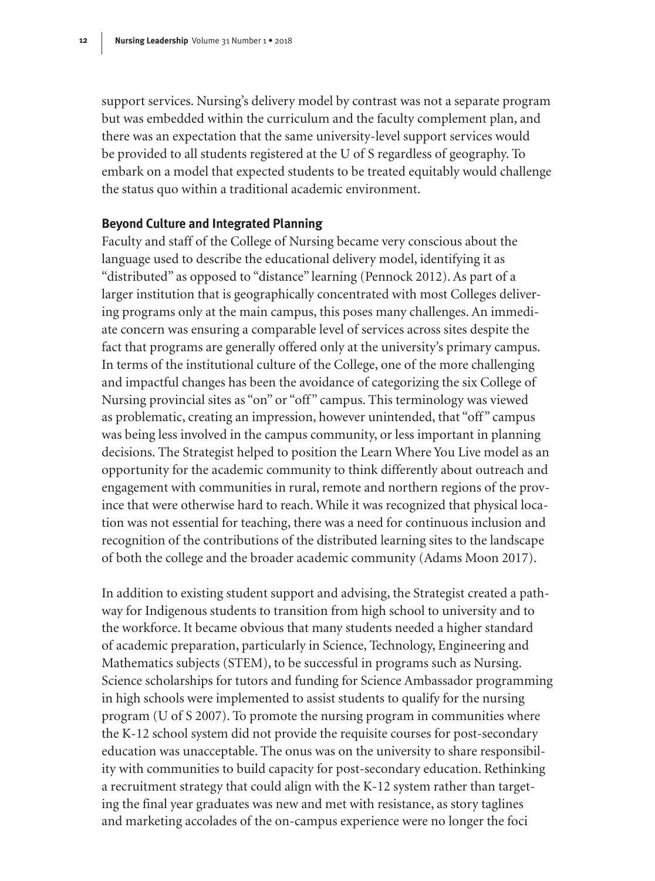support services. Nursing's delivery model by contrast was not a separate program but was embedded within the curriculum and the faculty complement plan, and there was an expectation that the same university-level support services would be provided to all students registered at the U of S regardless of geography. To embark on a model that expected students to be treated equitably would challenge the status quo within a traditional academic environment.

#### **Beyond Culture and Integrated Planning**

Faculty and staff of the College of Nursing became very conscious about the language used to describe the educational delivery model, identifying it as "distributed" as opposed to "distance" learning (Pennock 2012). As part of a larger institution that is geographically concentrated with most Colleges delivering programs only at the main campus, this poses many challenges. An immediate concern was ensuring a comparable level of services across sites despite the fact that programs are generally offered only at the university's primary campus. In terms of the institutional culture of the College, one of the more challenging and impactful changes has been the avoidance of categorizing the six College of Nursing provincial sites as "on" or "off" campus. This terminology was viewed as problematic, creating an impression, however unintended, that "off" campus was being less involved in the campus community, or less important in planning decisions. The Strategist helped to position the Learn Where You Live model as an opportunity for the academic community to think differently about outreach and engagement with communities in rural, remote and northern regions of the province that were otherwise hard to reach. While it was recognized that physical location was not essential for teaching, there was a need for continuous inclusion and recognition of the contributions of the distributed learning sites to the landscape of both the college and the broader academic community (Adams Moon 2017).

In addition to existing student support and advising, the Strategist created a pathway for Indigenous students to transition from high school to university and to the workforce. It became obvious that many students needed a higher standard of academic preparation, particularly in Science, Technology, Engineering and Mathematics subjects (STEM), to be successful in programs such as Nursing. Science scholarships for tutors and funding for Science Ambassador programming in high schools were implemented to assist students to qualify for the nursing program (U of S 2007). To promote the nursing program in communities where the K-12 school system did not provide the requisite courses for post-secondary education was unacceptable. The onus was on the university to share responsibility with communities to build capacity for post-secondary education. Rethinking a recruitment strategy that could align with the K-12 system rather than targeting the final year graduates was new and met with resistance, as story taglines and marketing accolades of the on-campus experience were no longer the foci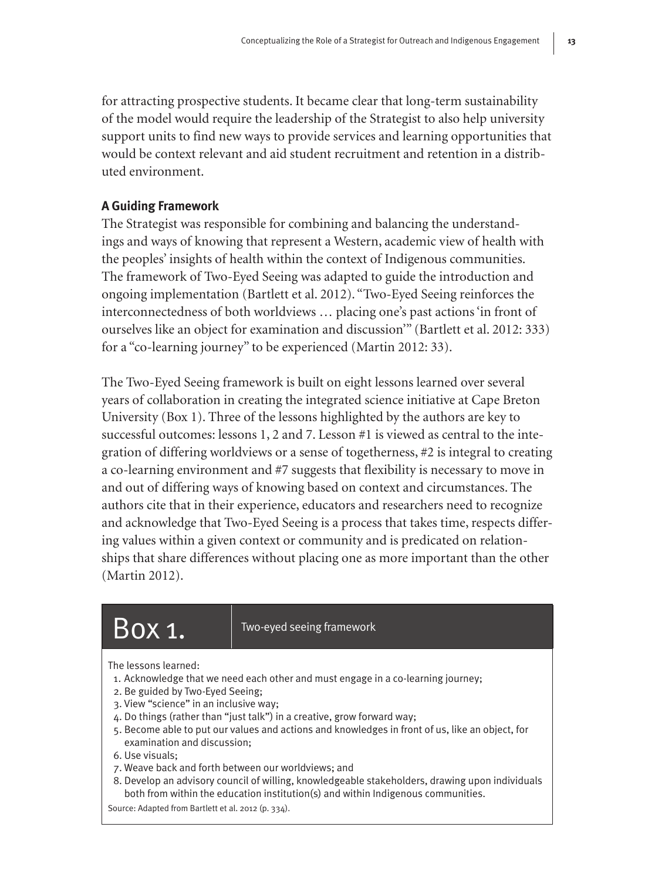for attracting prospective students. It became clear that long-term sustainability of the model would require the leadership of the Strategist to also help university support units to find new ways to provide services and learning opportunities that would be context relevant and aid student recruitment and retention in a distributed environment.

# **A Guiding Framework**

The Strategist was responsible for combining and balancing the understandings and ways of knowing that represent a Western, academic view of health with the peoples' insights of health within the context of Indigenous communities. The framework of Two-Eyed Seeing was adapted to guide the introduction and ongoing implementation (Bartlett et al. 2012). "Two-Eyed Seeing reinforces the interconnectedness of both worldviews … placing one's past actions'in front of ourselves like an object for examination and discussion'" (Bartlett et al. 2012: 333) for a "co-learning journey" to be experienced (Martin 2012: 33).

The Two-Eyed Seeing framework is built on eight lessons learned over several years of collaboration in creating the integrated science initiative at Cape Breton University (Box 1). Three of the lessons highlighted by the authors are key to successful outcomes: lessons 1, 2 and 7. Lesson #1 is viewed as central to the integration of differing worldviews or a sense of togetherness, #2 is integral to creating a co-learning environment and #7 suggests that flexibility is necessary to move in and out of differing ways of knowing based on context and circumstances. The authors cite that in their experience, educators and researchers need to recognize and acknowledge that Two-Eyed Seeing is a process that takes time, respects differing values within a given context or community and is predicated on relationships that share differences without placing one as more important than the other (Martin 2012).

# $\overline{\text{Box 1.}}$  Two-eyed seeing framework

The lessons learned:

- 1. Acknowledge that we need each other and must engage in a co-learning journey;
- 2. Be guided by Two-Eyed Seeing;
- 3. View "science" in an inclusive way;
- 4. Do things (rather than "just talk") in a creative, grow forward way;
- 5. Become able to put our values and actions and knowledges in front of us, like an object, for examination and discussion;
- 6. Use visuals;
- 7. Weave back and forth between our worldviews; and
- 8. Develop an advisory council of willing, knowledgeable stakeholders, drawing upon individuals both from within the education institution(s) and within Indigenous communities.

Source: Adapted from Bartlett et al. 2012 (p. 334).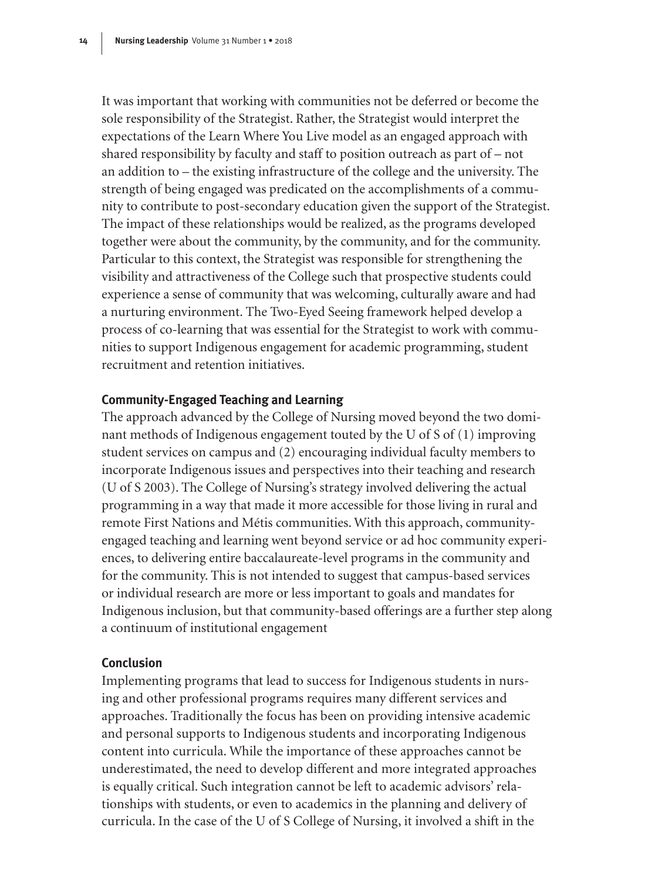It was important that working with communities not be deferred or become the sole responsibility of the Strategist. Rather, the Strategist would interpret the expectations of the Learn Where You Live model as an engaged approach with shared responsibility by faculty and staff to position outreach as part of – not an addition to – the existing infrastructure of the college and the university. The strength of being engaged was predicated on the accomplishments of a community to contribute to post-secondary education given the support of the Strategist. The impact of these relationships would be realized, as the programs developed together were about the community, by the community, and for the community. Particular to this context, the Strategist was responsible for strengthening the visibility and attractiveness of the College such that prospective students could experience a sense of community that was welcoming, culturally aware and had a nurturing environment. The Two-Eyed Seeing framework helped develop a process of co-learning that was essential for the Strategist to work with communities to support Indigenous engagement for academic programming, student recruitment and retention initiatives.

### **Community-Engaged Teaching and Learning**

The approach advanced by the College of Nursing moved beyond the two dominant methods of Indigenous engagement touted by the U of S of (1) improving student services on campus and (2) encouraging individual faculty members to incorporate Indigenous issues and perspectives into their teaching and research (U of S 2003). The College of Nursing's strategy involved delivering the actual programming in a way that made it more accessible for those living in rural and remote First Nations and Métis communities. With this approach, communityengaged teaching and learning went beyond service or ad hoc community experiences, to delivering entire baccalaureate-level programs in the community and for the community. This is not intended to suggest that campus-based services or individual research are more or less important to goals and mandates for Indigenous inclusion, but that community-based offerings are a further step along a continuum of institutional engagement

# **Conclusion**

Implementing programs that lead to success for Indigenous students in nursing and other professional programs requires many different services and approaches. Traditionally the focus has been on providing intensive academic and personal supports to Indigenous students and incorporating Indigenous content into curricula. While the importance of these approaches cannot be underestimated, the need to develop different and more integrated approaches is equally critical. Such integration cannot be left to academic advisors'relationships with students, or even to academics in the planning and delivery of curricula. In the case of the U of S College of Nursing, it involved a shift in the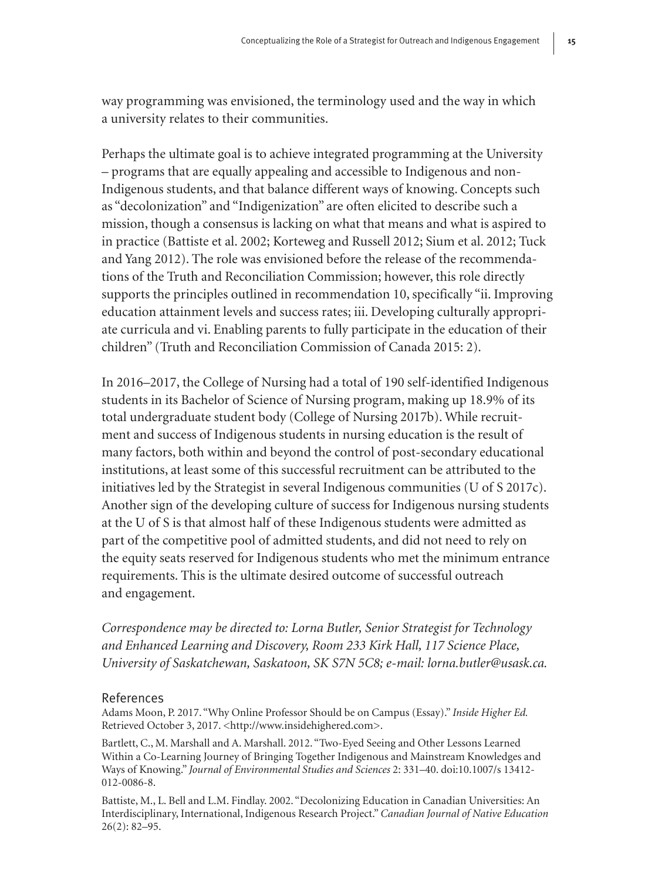way programming was envisioned, the terminology used and the way in which a university relates to their communities.

Perhaps the ultimate goal is to achieve integrated programming at the University – programs that are equally appealing and accessible to Indigenous and non-Indigenous students, and that balance different ways of knowing. Concepts such as "decolonization" and "Indigenization" are often elicited to describe such a mission, though a consensus is lacking on what that means and what is aspired to in practice (Battiste et al. 2002; Korteweg and Russell 2012; Sium et al. 2012; Tuck and Yang 2012). The role was envisioned before the release of the recommendations of the Truth and Reconciliation Commission; however, this role directly supports the principles outlined in recommendation 10, specifically "ii. Improving education attainment levels and success rates; iii. Developing culturally appropriate curricula and vi. Enabling parents to fully participate in the education of their children" (Truth and Reconciliation Commission of Canada 2015: 2).

In 2016–2017, the College of Nursing had a total of 190 self-identified Indigenous students in its Bachelor of Science of Nursing program, making up 18.9% of its total undergraduate student body (College of Nursing 2017b). While recruitment and success of Indigenous students in nursing education is the result of many factors, both within and beyond the control of post-secondary educational institutions, at least some of this successful recruitment can be attributed to the initiatives led by the Strategist in several Indigenous communities (U of S 2017c). Another sign of the developing culture of success for Indigenous nursing students at the U of S is that almost half of these Indigenous students were admitted as part of the competitive pool of admitted students, and did not need to rely on the equity seats reserved for Indigenous students who met the minimum entrance requirements. This is the ultimate desired outcome of successful outreach and engagement.

*Correspondence may be directed to: Lorna Butler, Senior Strategist for Technology and Enhanced Learning and Discovery, Room 233 Kirk Hall, 117 Science Place, University of Saskatchewan, Saskatoon, SK S7N 5C8; e-mail: [lorna.butler@usask.ca.](mailto:lorna.butler@usask.ca)*

#### References

Adams Moon, P. 2017. "Why Online Professor Should be on Campus (Essay)." *Inside Higher Ed.* Retrieved October 3, 2017. <[http://www.insidehighered.com>](http://www.insidehighered.com).

Bartlett, C., M. Marshall and A. Marshall. 2012. "Two-Eyed Seeing and Other Lessons Learned Within a Co-Learning Journey of Bringing Together Indigenous and Mainstream Knowledges and Ways of Knowing." *Journal of Environmental Studies and Sciences* 2: 331–40. doi:10.1007/s 13412- 012-0086-8.

Battiste, M., L. Bell and L.M. Findlay. 2002. "Decolonizing Education in Canadian Universities: An Interdisciplinary, International, Indigenous Research Project." *Canadian Journal of Native Education*  $26(2): 82 - 95.$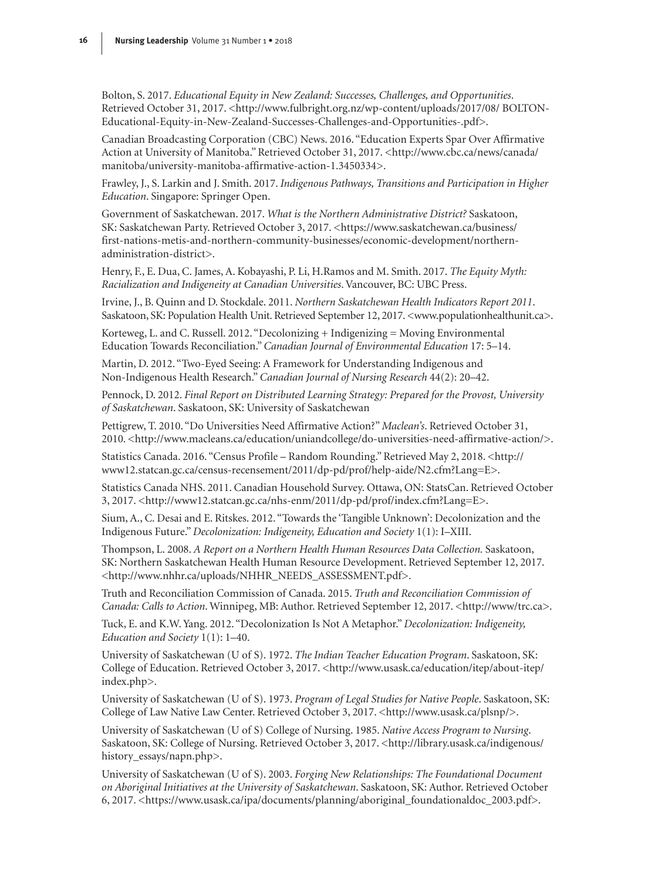Bolton, S. 2017. *Educational Equity in New Zealand: Successes, Challenges, and Opportunities*. Retrieved October 31, 2017. <[http://www.fulbright.org.nz/wp-content/uploads/2017/08/ BOLTON-](http://www.fulbright.org.nz/wp-content/uploads/2017/08/ BOLTON-Educational-Equity-in-New-Zealand-Successes-Challenges-and-Opportunities-.pdf)[Educational-Equity-in-New-Zealand-Successes-Challenges-and-Opportunities-.pdf>](http://www.fulbright.org.nz/wp-content/uploads/2017/08/ BOLTON-Educational-Equity-in-New-Zealand-Successes-Challenges-and-Opportunities-.pdf).

Canadian Broadcasting Corporation (CBC) News. 2016. "Education Experts Spar Over Affirmative Action at University of Manitoba." Retrieved October 31, 2017. <[http://www.cbc.ca/news/canada/](http://www.cbc.ca/news/canada/manitoba/university-manitoba-affirmative-action-1.3450334) [manitoba/university-manitoba-affirmative-action-1.3450334](http://www.cbc.ca/news/canada/manitoba/university-manitoba-affirmative-action-1.3450334)>.

Frawley, J., S. Larkin and J. Smith. 2017. *Indigenous Pathways, Transitions and Participation in Higher Education*. Singapore: Springer Open.

Government of Saskatchewan. 2017. *What is the Northern Administrative District?* Saskatoon, SK: Saskatchewan Party. Retrieved October 3, 2017. <[https://www.saskatchewan.ca/business/](https://www.saskatchewan.ca/business/first-nations-metis-and-northern-community-businesses/economic-development/northern-administration-district) [first-nations-metis-and-northern-community-businesses/economic-development/northern](https://www.saskatchewan.ca/business/first-nations-metis-and-northern-community-businesses/economic-development/northern-administration-district)[administration-district>](https://www.saskatchewan.ca/business/first-nations-metis-and-northern-community-businesses/economic-development/northern-administration-district).

Henry, F., E. Dua, C. James, A. Kobayashi, P. Li, H.Ramos and M. Smith. 2017. *The Equity Myth: Racialization and Indigeneity at Canadian Universities*. Vancouver, BC: UBC Press.

Irvine, J., B. Quinn and D. Stockdale. 2011. *Northern Saskatchewan Health Indicators Report 2011*. Saskatoon, SK: Population Health Unit. Retrieved September 12, 2017. [<www.populationhealthunit.ca>](http://www.populationhealthunit.ca).

Korteweg, L. and C. Russell. 2012. "Decolonizing + Indigenizing = Moving Environmental Education Towards Reconciliation." *Canadian Journal of Environmental Education* 17: 5–14.

Martin, D. 2012. "Two-Eyed Seeing: A Framework for Understanding Indigenous and Non-Indigenous Health Research." *Canadian Journal of Nursing Research* 44(2): 20–42.

Pennock, D. 2012. *Final Report on Distributed Learning Strategy: Prepared for the Provost, University of Saskatchewan*. Saskatoon, SK: University of Saskatchewan

Pettigrew, T. 2010. "Do Universities Need Affirmative Action?" *Maclean's*. Retrieved October 31, 2010. <[http://www.macleans.ca/education/uniandcollege/do-universities-need-affirmative-action/>](http://www.macleans.ca/education/uniandcollege/do-universities-need-affirmative-action/).

Statistics Canada. 2016. "Census Profile – Random Rounding." Retrieved May 2, 2018. <[http://](http://www12.statcan.gc.ca/census-recensement/2011/dp-pd/prof/help-aide/N2.cfm?Lang=E) [www12.statcan.gc.ca/census-recensement/2011/dp-pd/prof/help-aide/N2.cfm?Lang=E](http://www12.statcan.gc.ca/census-recensement/2011/dp-pd/prof/help-aide/N2.cfm?Lang=E)>.

Statistics Canada NHS. 2011. Canadian Household Survey. Ottawa, ON: StatsCan. Retrieved October 3, 2017. <[http://www12.statcan.gc.ca/nhs-enm/2011/dp-pd/prof/index.cfm?Lang=E>](http://www12.statcan.gc.ca/nhs-enm/2011/dp-pd/prof/index.cfm?Lang=E).

Sium, A., C. Desai and E. Ritskes. 2012. "Towards the 'Tangible Unknown': Decolonization and the Indigenous Future." *Decolonization: Indigeneity, Education and Society* 1(1): I–XIII.

Thompson, L. 2008. *A Report on a Northern Health Human Resources Data Collection.* Saskatoon, SK: Northern Saskatchewan Health Human Resource Development. Retrieved September 12, 2017. <[http://www.nhhr.ca/uploads/NHHR\\_NEEDS\\_ASSESSMENT.pdf](http://www.nhhr.ca/uploads/NHHR_NEEDS_ASSESSMENT.pdf)>.

Truth and Reconciliation Commission of Canada. 2015. *Truth and Reconciliation Commission of Canada: Calls to Action*. Winnipeg, MB: Author. Retrieved September 12, 2017. <[http://www/trc.ca>](http://www/trc.ca).

Tuck, E. and K.W. Yang. 2012. "Decolonization Is Not A Metaphor." *Decolonization: Indigeneity, Education and Society* 1(1): 1–40.

University of Saskatchewan (U of S). 1972. *The Indian Teacher Education Program*. Saskatoon, SK: College of Education. Retrieved October 3, 2017. <[http://www.usask.ca/education/itep/about-itep/](http://www.usask.ca/education/itep/about-itep/index.php) [index.php](http://www.usask.ca/education/itep/about-itep/index.php)>.

University of Saskatchewan (U of S). 1973. *Program of Legal Studies for Native People*. Saskatoon, SK: College of Law Native Law Center. Retrieved October 3, 2017. <[http://www.usask.ca/plsnp/>](http://www.usask.ca/plsnp/).

University of Saskatchewan (U of S) College of Nursing. 1985. *Native Access Program to Nursing*. Saskatoon, SK: College of Nursing. Retrieved October 3, 2017. <[http://library.usask.ca/indigenous/](http://library.usask.ca/indigenous/history_essays/napn.php) [history\\_essays/napn.php>](http://library.usask.ca/indigenous/history_essays/napn.php).

University of Saskatchewan (U of S). 2003. *Forging New Relationships: The Foundational Document on Aboriginal Initiatives at the University of Saskatchewan*. Saskatoon, SK: Author. Retrieved October 6, 2017. <[https://www.usask.ca/ipa/documents/planning/aboriginal\\_foundationaldoc\\_2003.pdf>](https://www.usask.ca/ipa/documents/planning/aboriginal_foundationaldoc_2003.pdf).